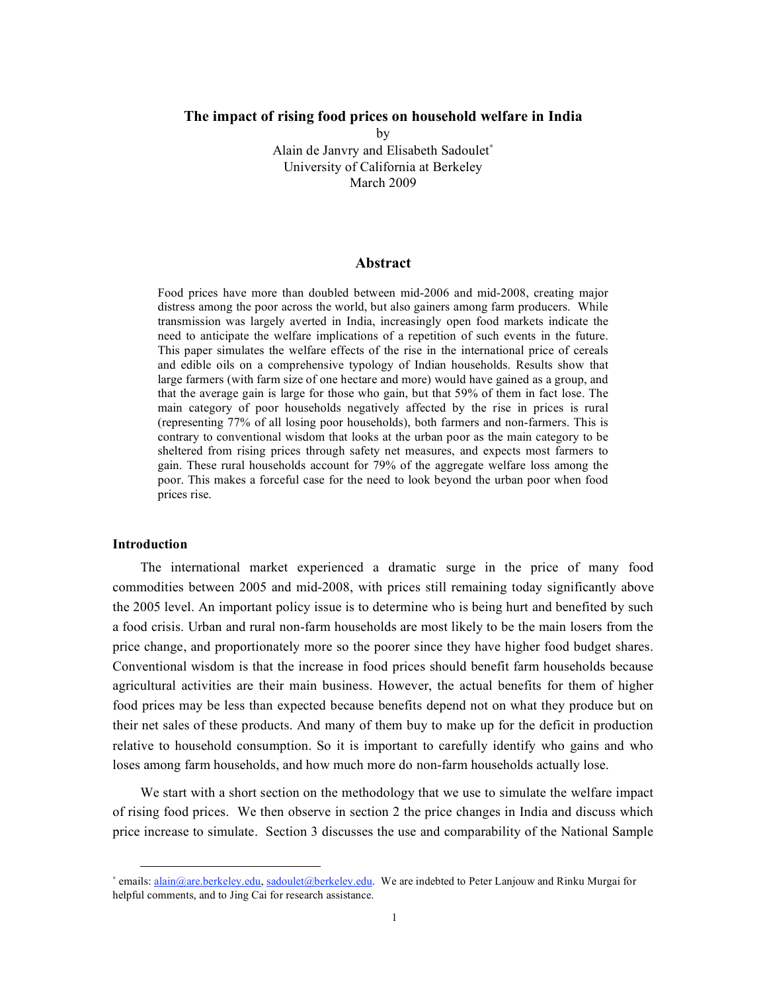# **The impact of rising food prices on household welfare in India**

by Alain de Janvry and Elisabeth Sadoulet<sup>∗</sup> University of California at Berkeley March 2009

### **Abstract**

Food prices have more than doubled between mid-2006 and mid-2008, creating major distress among the poor across the world, but also gainers among farm producers. While transmission was largely averted in India, increasingly open food markets indicate the need to anticipate the welfare implications of a repetition of such events in the future. This paper simulates the welfare effects of the rise in the international price of cereals and edible oils on a comprehensive typology of Indian households. Results show that large farmers (with farm size of one hectare and more) would have gained as a group, and that the average gain is large for those who gain, but that 59% of them in fact lose. The main category of poor households negatively affected by the rise in prices is rural (representing 77% of all losing poor households), both farmers and non-farmers. This is contrary to conventional wisdom that looks at the urban poor as the main category to be sheltered from rising prices through safety net measures, and expects most farmers to gain. These rural households account for 79% of the aggregate welfare loss among the poor. This makes a forceful case for the need to look beyond the urban poor when food prices rise.

# **Introduction**

 $\overline{a}$ 

The international market experienced a dramatic surge in the price of many food commodities between 2005 and mid-2008, with prices still remaining today significantly above the 2005 level. An important policy issue is to determine who is being hurt and benefited by such a food crisis. Urban and rural non-farm households are most likely to be the main losers from the price change, and proportionately more so the poorer since they have higher food budget shares. Conventional wisdom is that the increase in food prices should benefit farm households because agricultural activities are their main business. However, the actual benefits for them of higher food prices may be less than expected because benefits depend not on what they produce but on their net sales of these products. And many of them buy to make up for the deficit in production relative to household consumption. So it is important to carefully identify who gains and who loses among farm households, and how much more do non-farm households actually lose.

We start with a short section on the methodology that we use to simulate the welfare impact of rising food prices. We then observe in section 2 the price changes in India and discuss which price increase to simulate. Section 3 discusses the use and comparability of the National Sample

<sup>∗</sup> emails: alain@are.berkeley.edu, sadoulet@berkeley.edu. We are indebted to Peter Lanjouw and Rinku Murgai for helpful comments, and to Jing Cai for research assistance.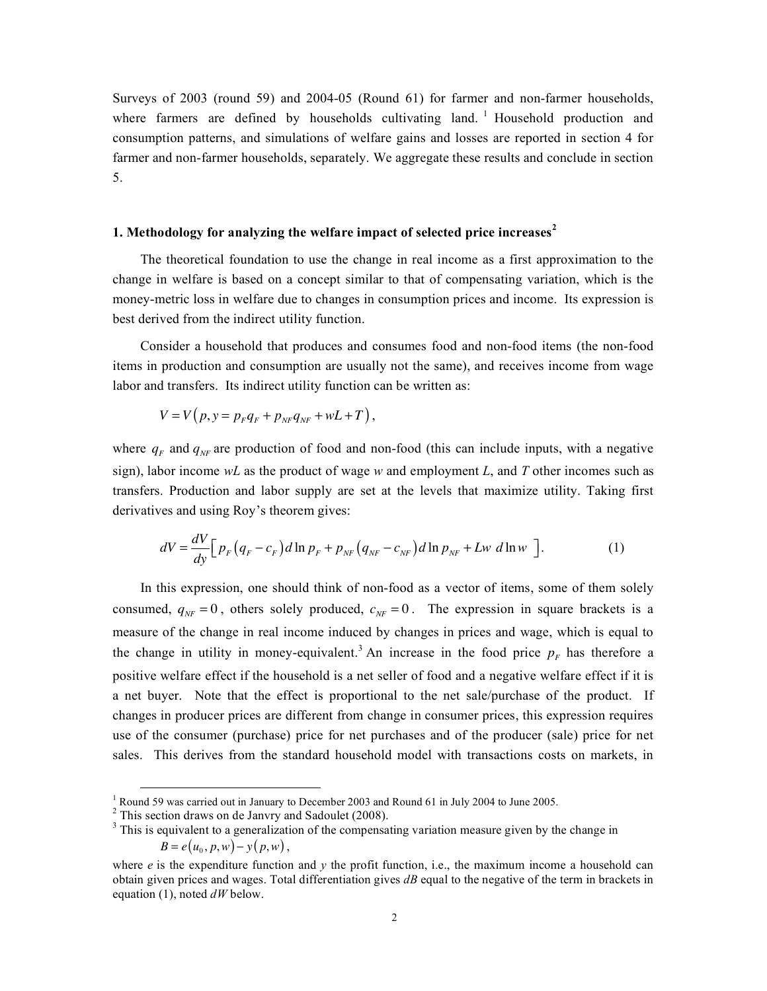Surveys of 2003 (round 59) and 2004-05 (Round 61) for farmer and non-farmer households, where farmers are defined by households cultivating land. <sup>1</sup> Household production and consumption patterns, and simulations of welfare gains and losses are reported in section 4 for farmer and non-farmer households, separately. We aggregate these results and conclude in section 5.

# **1. Methodology for analyzing the welfare impact of selected price increases<sup>2</sup>**

The theoretical foundation to use the change in real income as a first approximation to the change in welfare is based on a concept similar to that of compensating variation, which is the money-metric loss in welfare due to changes in consumption prices and income. Its expression is best derived from the indirect utility function.

Consider a household that produces and consumes food and non-food items (the non-food items in production and consumption are usually not the same), and receives income from wage labor and transfers. Its indirect utility function can be written as:

$$
V = V(p, y = p_F q_F + p_{NF} q_{NF} + wL + T),
$$

where  $q_F$  and  $q_{NF}$  are production of food and non-food (this can include inputs, with a negative sign), labor income *wL* as the product of wage *w* and employment *L*, and *T* other incomes such as transfers. Production and labor supply are set at the levels that maximize utility. Taking first derivatives and using Roy's theorem gives:

$$
dV = \frac{dV}{dy} \Big[ p_F \Big( q_F - c_F \Big) d \ln p_F + p_{NF} \Big( q_{NF} - c_{NF} \Big) d \ln p_{NF} + Lw \ d \ln w \ \Big]. \tag{1}
$$

In this expression, one should think of non-food as a vector of items, some of them solely consumed,  $q_{NF} = 0$ , others solely produced,  $c_{NF} = 0$ . The expression in square brackets is a measure of the change in real income induced by changes in prices and wage, which is equal to the change in utility in money-equivalent.<sup>3</sup> An increase in the food price  $p_F$  has therefore a positive welfare effect if the household is a net seller of food and a negative welfare effect if it is a net buyer. Note that the effect is proportional to the net sale/purchase of the product. If changes in producer prices are different from change in consumer prices, this expression requires use of the consumer (purchase) price for net purchases and of the producer (sale) price for net sales. This derives from the standard household model with transactions costs on markets, in

<sup>&</sup>lt;sup>1</sup> Round 59 was carried out in January to December 2003 and Round 61 in July 2004 to June 2005.<br><sup>2</sup> This section draws on de Janvry and Sadoulet (2008).<br><sup>3</sup> This is equivalent to a generalization of the compensating vari  $B = e(u_0, p, w) - y(p, w)$ ,

where  $e$  is the expenditure function and  $v$  the profit function, i.e., the maximum income a household can obtain given prices and wages. Total differentiation gives *dB* equal to the negative of the term in brackets in equation (1), noted *dW* below.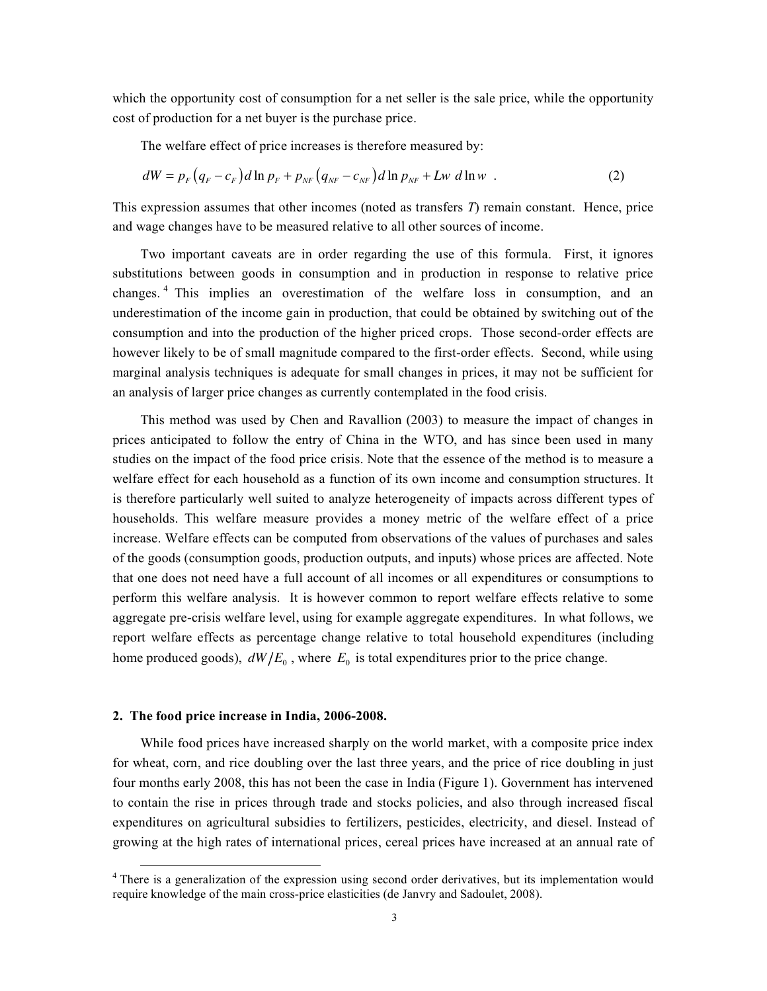which the opportunity cost of consumption for a net seller is the sale price, while the opportunity cost of production for a net buyer is the purchase price.

The welfare effect of price increases is therefore measured by:

$$
dW = p_F (q_F - c_F) d \ln p_F + p_{NF} (q_{NF} - c_{NF}) d \ln p_{NF} + Lw d \ln w
$$
 (2)

This expression assumes that other incomes (noted as transfers *T*) remain constant. Hence, price and wage changes have to be measured relative to all other sources of income.

Two important caveats are in order regarding the use of this formula. First, it ignores substitutions between goods in consumption and in production in response to relative price changes. <sup>4</sup> This implies an overestimation of the welfare loss in consumption, and an underestimation of the income gain in production, that could be obtained by switching out of the consumption and into the production of the higher priced crops. Those second-order effects are however likely to be of small magnitude compared to the first-order effects. Second, while using marginal analysis techniques is adequate for small changes in prices, it may not be sufficient for an analysis of larger price changes as currently contemplated in the food crisis.

This method was used by Chen and Ravallion (2003) to measure the impact of changes in prices anticipated to follow the entry of China in the WTO, and has since been used in many studies on the impact of the food price crisis. Note that the essence of the method is to measure a welfare effect for each household as a function of its own income and consumption structures. It is therefore particularly well suited to analyze heterogeneity of impacts across different types of households. This welfare measure provides a money metric of the welfare effect of a price increase. Welfare effects can be computed from observations of the values of purchases and sales of the goods (consumption goods, production outputs, and inputs) whose prices are affected. Note that one does not need have a full account of all incomes or all expenditures or consumptions to perform this welfare analysis. It is however common to report welfare effects relative to some aggregate pre-crisis welfare level, using for example aggregate expenditures. In what follows, we report welfare effects as percentage change relative to total household expenditures (including home produced goods),  $dW/E_0$ , where  $E_0$  is total expenditures prior to the price change.

#### **2. The food price increase in India, 2006-2008.**

While food prices have increased sharply on the world market, with a composite price index for wheat, corn, and rice doubling over the last three years, and the price of rice doubling in just four months early 2008, this has not been the case in India (Figure 1). Government has intervened to contain the rise in prices through trade and stocks policies, and also through increased fiscal expenditures on agricultural subsidies to fertilizers, pesticides, electricity, and diesel. Instead of growing at the high rates of international prices, cereal prices have increased at an annual rate of

 $4$  There is a generalization of the expression using second order derivatives, but its implementation would require knowledge of the main cross-price elasticities (de Janvry and Sadoulet, 2008).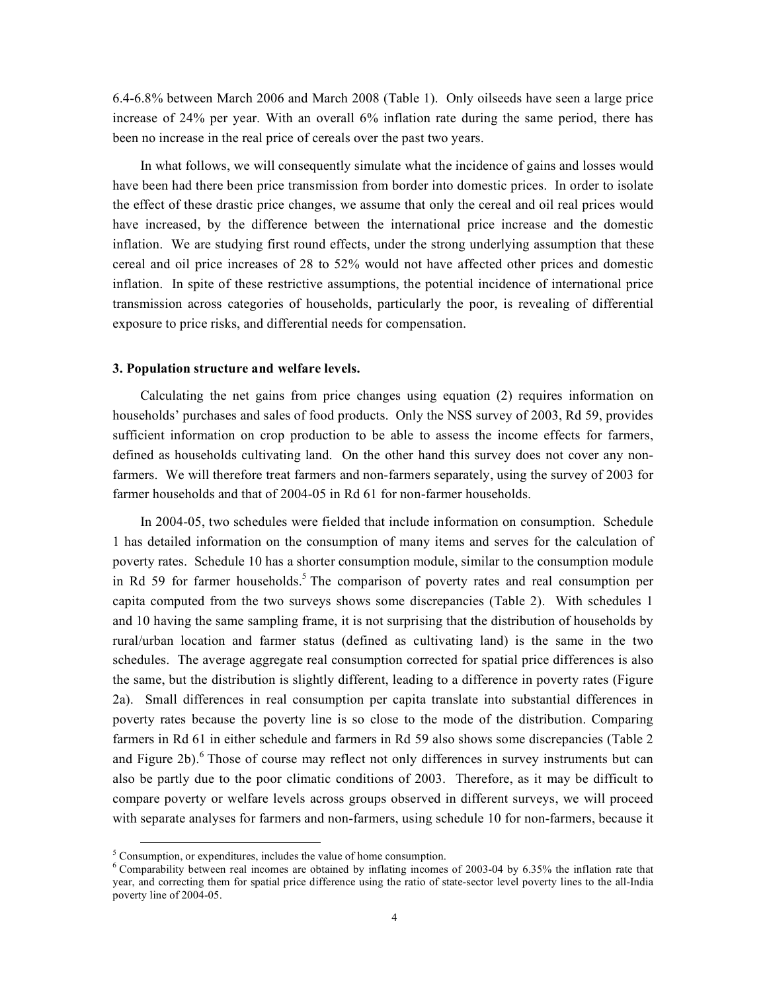6.4-6.8% between March 2006 and March 2008 (Table 1). Only oilseeds have seen a large price increase of 24% per year. With an overall 6% inflation rate during the same period, there has been no increase in the real price of cereals over the past two years.

In what follows, we will consequently simulate what the incidence of gains and losses would have been had there been price transmission from border into domestic prices. In order to isolate the effect of these drastic price changes, we assume that only the cereal and oil real prices would have increased, by the difference between the international price increase and the domestic inflation. We are studying first round effects, under the strong underlying assumption that these cereal and oil price increases of 28 to 52% would not have affected other prices and domestic inflation. In spite of these restrictive assumptions, the potential incidence of international price transmission across categories of households, particularly the poor, is revealing of differential exposure to price risks, and differential needs for compensation.

#### **3. Population structure and welfare levels.**

Calculating the net gains from price changes using equation (2) requires information on households' purchases and sales of food products. Only the NSS survey of 2003, Rd 59, provides sufficient information on crop production to be able to assess the income effects for farmers, defined as households cultivating land. On the other hand this survey does not cover any nonfarmers. We will therefore treat farmers and non-farmers separately, using the survey of 2003 for farmer households and that of 2004-05 in Rd 61 for non-farmer households.

In 2004-05, two schedules were fielded that include information on consumption. Schedule 1 has detailed information on the consumption of many items and serves for the calculation of poverty rates. Schedule 10 has a shorter consumption module, similar to the consumption module in Rd 59 for farmer households. <sup>5</sup> The comparison of poverty rates and real consumption per capita computed from the two surveys shows some discrepancies (Table 2). With schedules 1 and 10 having the same sampling frame, it is not surprising that the distribution of households by rural/urban location and farmer status (defined as cultivating land) is the same in the two schedules. The average aggregate real consumption corrected for spatial price differences is also the same, but the distribution is slightly different, leading to a difference in poverty rates (Figure 2a). Small differences in real consumption per capita translate into substantial differences in poverty rates because the poverty line is so close to the mode of the distribution. Comparing farmers in Rd 61 in either schedule and farmers in Rd 59 also shows some discrepancies (Table 2 and Figure 2b). <sup>6</sup> Those of course may reflect not only differences in survey instruments but can also be partly due to the poor climatic conditions of 2003. Therefore, as it may be difficult to compare poverty or welfare levels across groups observed in different surveys, we will proceed with separate analyses for farmers and non-farmers, using schedule 10 for non-farmers, because it

<sup>&</sup>lt;sup>5</sup> Consumption, or expenditures, includes the value of home consumption.<br><sup>6</sup> Comparability between real incomes are obtained by inflating incomes of 2003-04 by 6.35% the inflation rate that year, and correcting them for spatial price difference using the ratio of state-sector level poverty lines to the all-India poverty line of 2004-05.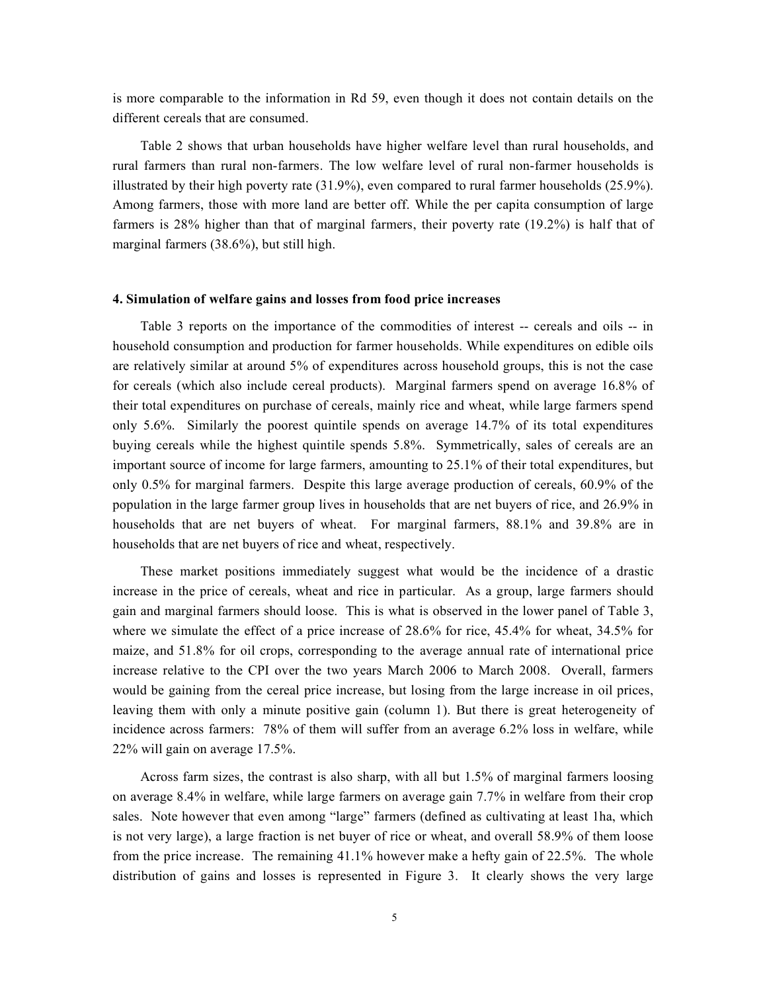is more comparable to the information in Rd 59, even though it does not contain details on the different cereals that are consumed.

Table 2 shows that urban households have higher welfare level than rural households, and rural farmers than rural non-farmers. The low welfare level of rural non-farmer households is illustrated by their high poverty rate (31.9%), even compared to rural farmer households (25.9%). Among farmers, those with more land are better off. While the per capita consumption of large farmers is 28% higher than that of marginal farmers, their poverty rate (19.2%) is half that of marginal farmers (38.6%), but still high.

#### **4. Simulation of welfare gains and losses from food price increases**

Table 3 reports on the importance of the commodities of interest -- cereals and oils -- in household consumption and production for farmer households. While expenditures on edible oils are relatively similar at around 5% of expenditures across household groups, this is not the case for cereals (which also include cereal products). Marginal farmers spend on average 16.8% of their total expenditures on purchase of cereals, mainly rice and wheat, while large farmers spend only 5.6%. Similarly the poorest quintile spends on average 14.7% of its total expenditures buying cereals while the highest quintile spends 5.8%. Symmetrically, sales of cereals are an important source of income for large farmers, amounting to 25.1% of their total expenditures, but only 0.5% for marginal farmers. Despite this large average production of cereals, 60.9% of the population in the large farmer group lives in households that are net buyers of rice, and 26.9% in households that are net buyers of wheat. For marginal farmers, 88.1% and 39.8% are in households that are net buyers of rice and wheat, respectively.

These market positions immediately suggest what would be the incidence of a drastic increase in the price of cereals, wheat and rice in particular. As a group, large farmers should gain and marginal farmers should loose. This is what is observed in the lower panel of Table 3, where we simulate the effect of a price increase of 28.6% for rice, 45.4% for wheat, 34.5% for maize, and 51.8% for oil crops, corresponding to the average annual rate of international price increase relative to the CPI over the two years March 2006 to March 2008. Overall, farmers would be gaining from the cereal price increase, but losing from the large increase in oil prices, leaving them with only a minute positive gain (column 1). But there is great heterogeneity of incidence across farmers: 78% of them will suffer from an average 6.2% loss in welfare, while 22% will gain on average 17.5%.

Across farm sizes, the contrast is also sharp, with all but 1.5% of marginal farmers loosing on average 8.4% in welfare, while large farmers on average gain 7.7% in welfare from their crop sales. Note however that even among "large" farmers (defined as cultivating at least 1ha, which is not very large), a large fraction is net buyer of rice or wheat, and overall 58.9% of them loose from the price increase. The remaining 41.1% however make a hefty gain of 22.5%. The whole distribution of gains and losses is represented in Figure 3. It clearly shows the very large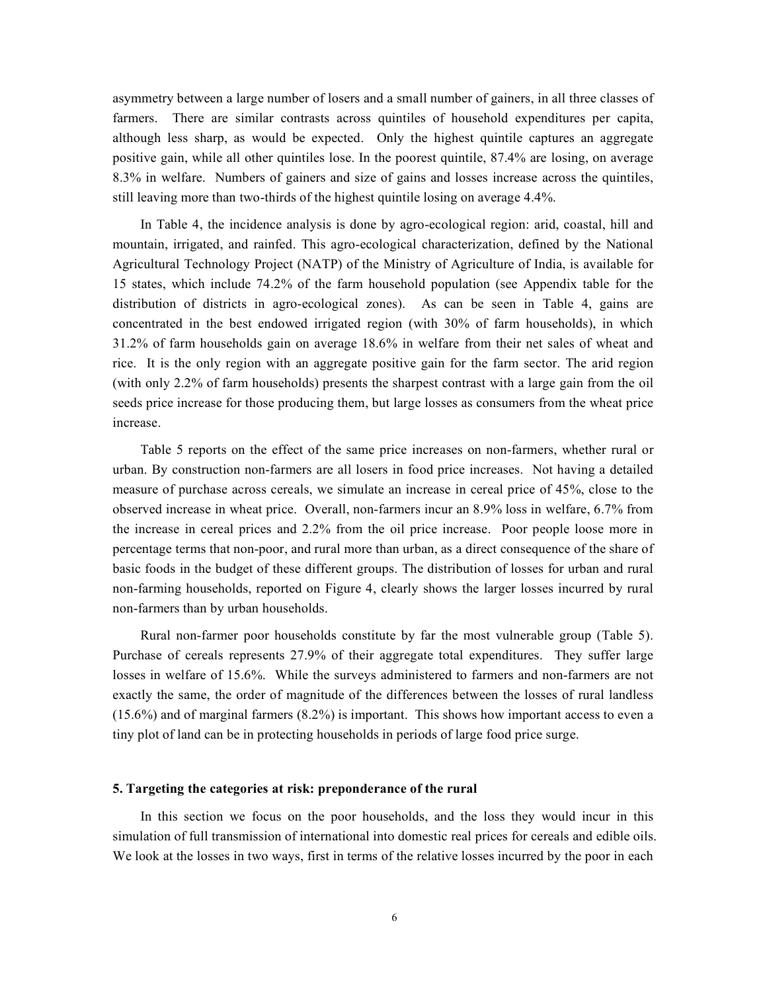asymmetry between a large number of losers and a small number of gainers, in all three classes of farmers. There are similar contrasts across quintiles of household expenditures per capita, although less sharp, as would be expected. Only the highest quintile captures an aggregate positive gain, while all other quintiles lose. In the poorest quintile, 87.4% are losing, on average 8.3% in welfare. Numbers of gainers and size of gains and losses increase across the quintiles, still leaving more than two-thirds of the highest quintile losing on average 4.4%.

In Table 4, the incidence analysis is done by agro-ecological region: arid, coastal, hill and mountain, irrigated, and rainfed. This agro-ecological characterization, defined by the National Agricultural Technology Project (NATP) of the Ministry of Agriculture of India, is available for 15 states, which include 74.2% of the farm household population (see Appendix table for the distribution of districts in agro-ecological zones). As can be seen in Table 4, gains are concentrated in the best endowed irrigated region (with 30% of farm households), in which 31.2% of farm households gain on average 18.6% in welfare from their net sales of wheat and rice. It is the only region with an aggregate positive gain for the farm sector. The arid region (with only 2.2% of farm households) presents the sharpest contrast with a large gain from the oil seeds price increase for those producing them, but large losses as consumers from the wheat price increase.

Table 5 reports on the effect of the same price increases on non-farmers, whether rural or urban. By construction non-farmers are all losers in food price increases. Not having a detailed measure of purchase across cereals, we simulate an increase in cereal price of 45%, close to the observed increase in wheat price. Overall, non-farmers incur an 8.9% loss in welfare, 6.7% from the increase in cereal prices and 2.2% from the oil price increase. Poor people loose more in percentage terms that non-poor, and rural more than urban, as a direct consequence of the share of basic foods in the budget of these different groups. The distribution of losses for urban and rural non-farming households, reported on Figure 4, clearly shows the larger losses incurred by rural non-farmers than by urban households.

Rural non-farmer poor households constitute by far the most vulnerable group (Table 5). Purchase of cereals represents 27.9% of their aggregate total expenditures. They suffer large losses in welfare of 15.6%. While the surveys administered to farmers and non-farmers are not exactly the same, the order of magnitude of the differences between the losses of rural landless (15.6%) and of marginal farmers (8.2%) is important. This shows how important access to even a tiny plot of land can be in protecting households in periods of large food price surge.

#### **5. Targeting the categories at risk: preponderance of the rural**

In this section we focus on the poor households, and the loss they would incur in this simulation of full transmission of international into domestic real prices for cereals and edible oils. We look at the losses in two ways, first in terms of the relative losses incurred by the poor in each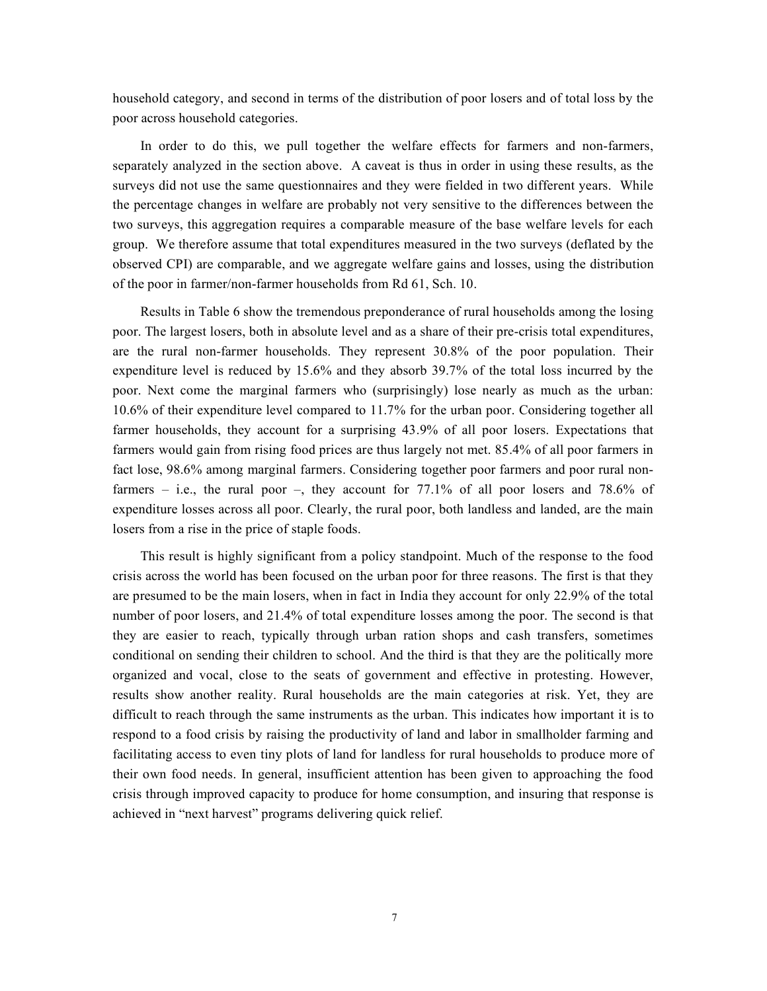household category, and second in terms of the distribution of poor losers and of total loss by the poor across household categories.

In order to do this, we pull together the welfare effects for farmers and non-farmers, separately analyzed in the section above. A caveat is thus in order in using these results, as the surveys did not use the same questionnaires and they were fielded in two different years. While the percentage changes in welfare are probably not very sensitive to the differences between the two surveys, this aggregation requires a comparable measure of the base welfare levels for each group. We therefore assume that total expenditures measured in the two surveys (deflated by the observed CPI) are comparable, and we aggregate welfare gains and losses, using the distribution of the poor in farmer/non-farmer households from Rd 61, Sch. 10.

Results in Table 6 show the tremendous preponderance of rural households among the losing poor. The largest losers, both in absolute level and as a share of their pre-crisis total expenditures, are the rural non-farmer households. They represent 30.8% of the poor population. Their expenditure level is reduced by 15.6% and they absorb 39.7% of the total loss incurred by the poor. Next come the marginal farmers who (surprisingly) lose nearly as much as the urban: 10.6% of their expenditure level compared to 11.7% for the urban poor. Considering together all farmer households, they account for a surprising 43.9% of all poor losers. Expectations that farmers would gain from rising food prices are thus largely not met. 85.4% of all poor farmers in fact lose, 98.6% among marginal farmers. Considering together poor farmers and poor rural nonfarmers – i.e., the rural poor –, they account for  $77.1\%$  of all poor losers and  $78.6\%$  of expenditure losses across all poor. Clearly, the rural poor, both landless and landed, are the main losers from a rise in the price of staple foods.

This result is highly significant from a policy standpoint. Much of the response to the food crisis across the world has been focused on the urban poor for three reasons. The first is that they are presumed to be the main losers, when in fact in India they account for only 22.9% of the total number of poor losers, and 21.4% of total expenditure losses among the poor. The second is that they are easier to reach, typically through urban ration shops and cash transfers, sometimes conditional on sending their children to school. And the third is that they are the politically more organized and vocal, close to the seats of government and effective in protesting. However, results show another reality. Rural households are the main categories at risk. Yet, they are difficult to reach through the same instruments as the urban. This indicates how important it is to respond to a food crisis by raising the productivity of land and labor in smallholder farming and facilitating access to even tiny plots of land for landless for rural households to produce more of their own food needs. In general, insufficient attention has been given to approaching the food crisis through improved capacity to produce for home consumption, and insuring that response is achieved in "next harvest" programs delivering quick relief.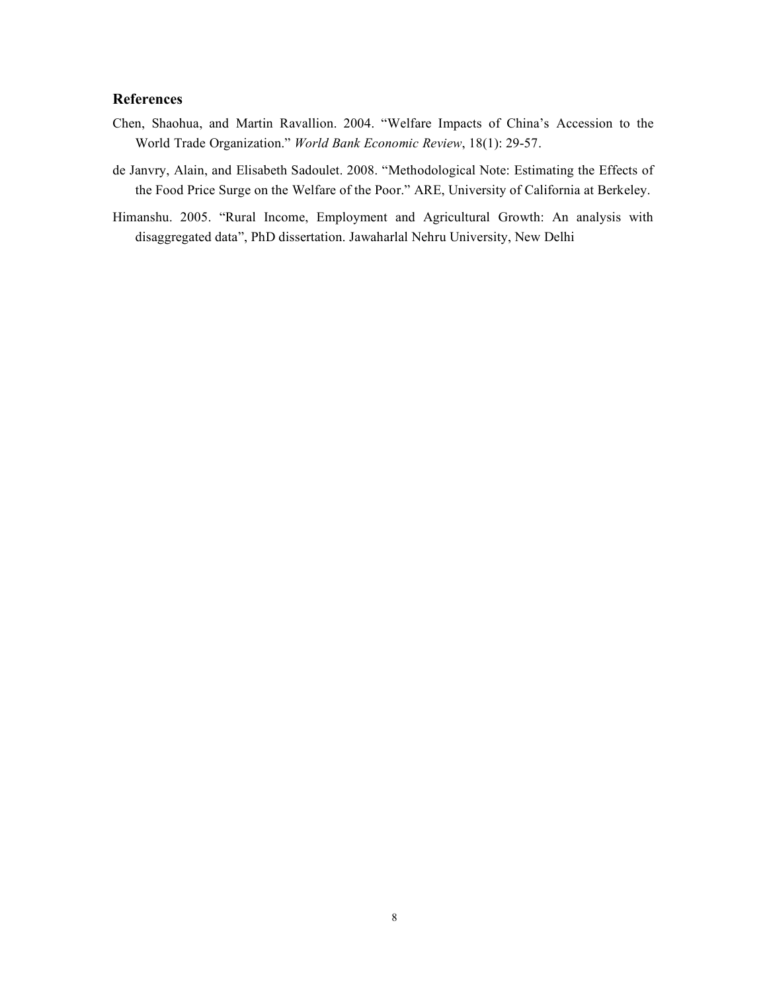# **References**

- Chen, Shaohua, and Martin Ravallion. 2004. "Welfare Impacts of China's Accession to the World Trade Organization." *World Bank Economic Review*, 18(1): 29-57.
- de Janvry, Alain, and Elisabeth Sadoulet. 2008. "Methodological Note: Estimating the Effects of the Food Price Surge on the Welfare of the Poor." ARE, University of California at Berkeley.
- Himanshu. 2005. "Rural Income, Employment and Agricultural Growth: An analysis with disaggregated data", PhD dissertation. Jawaharlal Nehru University, New Delhi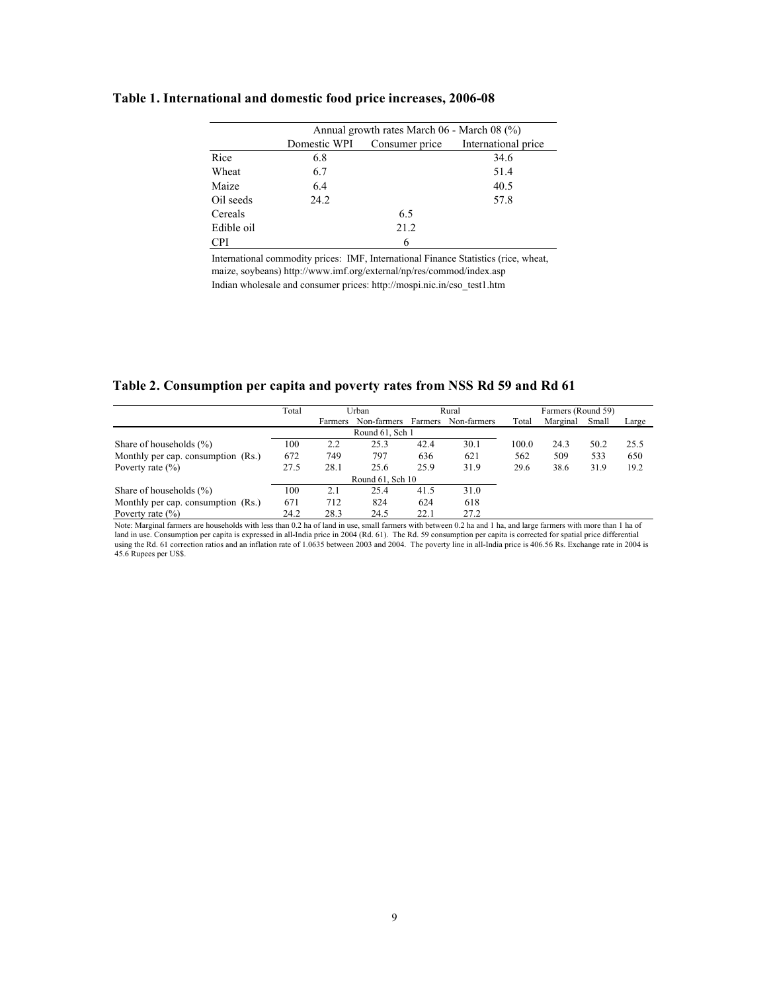## **Table 1. International and domestic food price increases, 2006-08**

|            | Annual growth rates March 06 - March 08 (%) |      |                                    |  |  |  |  |  |  |
|------------|---------------------------------------------|------|------------------------------------|--|--|--|--|--|--|
|            | Domestic WPI                                |      | Consumer price International price |  |  |  |  |  |  |
| Rice       | 6.8                                         |      | 34.6                               |  |  |  |  |  |  |
| Wheat      | 6.7                                         |      | 51.4                               |  |  |  |  |  |  |
| Maize      | 6.4                                         |      | 40.5                               |  |  |  |  |  |  |
| Oil seeds  | 24.2                                        |      | 57.8                               |  |  |  |  |  |  |
| Cereals    |                                             | 6.5  |                                    |  |  |  |  |  |  |
| Edible oil |                                             | 21.2 |                                    |  |  |  |  |  |  |
| <b>CPI</b> |                                             | 6    |                                    |  |  |  |  |  |  |

Indian wholesale and consumer prices: http://mospi.nic.in/cso\_test1.htm International commodity prices: IMF, International Finance Statistics (rice, wheat, maize, soybeans) http://www.imf.org/external/np/res/commod/index.asp

**Table 2. Consumption per capita and poverty rates from NSS Rd 59 and Rd 61**

|                                    | Total | Urban   |                     | Rural |             | Farmers (Round 59) |          |       |       |
|------------------------------------|-------|---------|---------------------|-------|-------------|--------------------|----------|-------|-------|
|                                    |       | Farmers | Non-farmers Farmers |       | Non-farmers | Total              | Marginal | Small | Large |
|                                    |       |         | Round 61, Sch 1     |       |             |                    |          |       |       |
| Share of households $(\%)$         | 100   | 2.2     | 25.3                | 42.4  | 30.1        | 100.0              | 24.3     | 50.2  | 25.5  |
| Monthly per cap. consumption (Rs.) | 672   | 749     | 797                 | 636   | 621         | 562                | 509      | 533   | 650   |
| Poverty rate $(\% )$               | 27.5  | 28.1    | 25.6                | 25.9  | 31.9        | 29.6               | 38.6     | 31.9  | 19.2  |
| Round 61, Sch 10                   |       |         |                     |       |             |                    |          |       |       |
| Share of households $(\%)$         | 100   | 2.1     | 25.4                | 41.5  | 31.0        |                    |          |       |       |
| Monthly per cap. consumption (Rs.) | 671   | 712     | 824                 | 624   | 618         |                    |          |       |       |
| Poverty rate $(\% )$               | 24.2  | 28.3    | 24.5                | 22.1  | 27.2        |                    |          |       |       |

Note: Marginal farmers are households with less than 0.2 ha of land in use, small farmers with between 0.2 ha and 1 ha, and large farmers with more than 1 ha of land in use. Consumption per capita is expressed in all-India price in 2004 (Rd. 61). The Rd. 59 consumption per capita is corrected for spatial price differential using the Rd. 61 correction ratios and an inflation rate of 1.0635 between 2003 and 2004. The poverty line in all-India price is 406.56 Rs. Exchange rate in 2004 is 45.6 Rupees per US\$.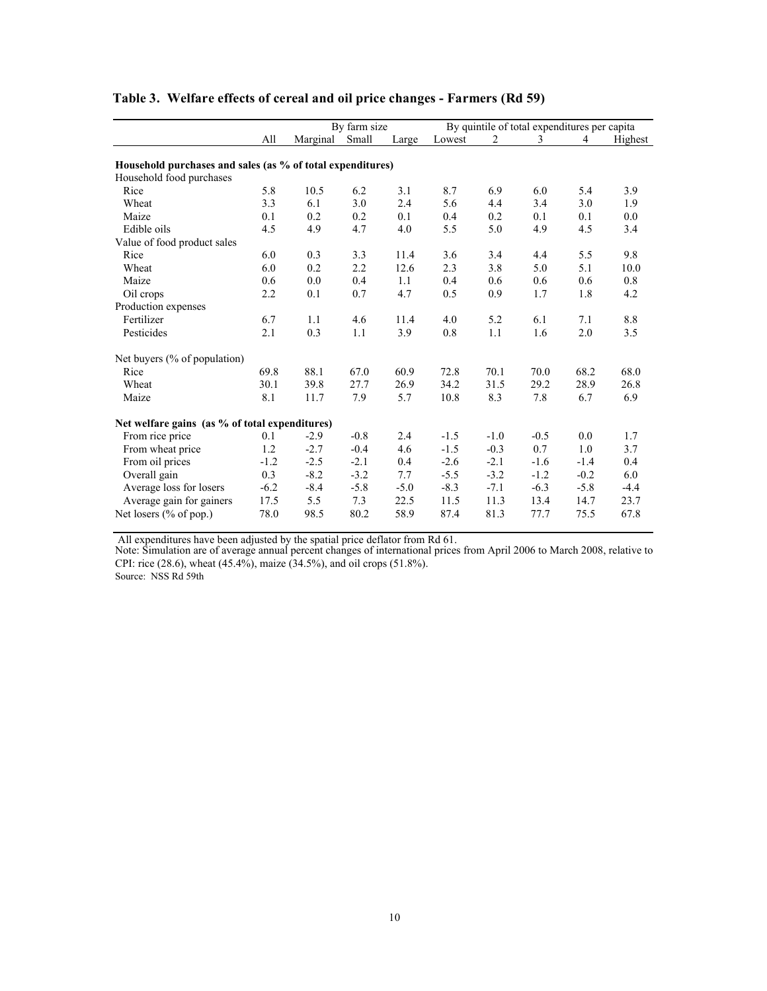|                                                            |        |          | By farm size |        | By quintile of total expenditures per capita |        |        |        |         |
|------------------------------------------------------------|--------|----------|--------------|--------|----------------------------------------------|--------|--------|--------|---------|
|                                                            | All    | Marginal | Small        | Large  | Lowest                                       | 2      | 3      | 4      | Highest |
| Household purchases and sales (as % of total expenditures) |        |          |              |        |                                              |        |        |        |         |
| Household food purchases                                   |        |          |              |        |                                              |        |        |        |         |
| Rice                                                       | 5.8    | 10.5     | 6.2          | 3.1    | 8.7                                          | 6.9    | 6.0    | 5.4    | 3.9     |
| Wheat                                                      | 3.3    | 6.1      | 3.0          | 2.4    | 5.6                                          | 4.4    | 3.4    | 3.0    | 1.9     |
| Maize                                                      | 0.1    | 0.2      | 0.2          | 0.1    | 0.4                                          | 0.2    | 0.1    | 0.1    | 0.0     |
| Edible oils                                                | 4.5    | 4.9      | 4.7          | 4.0    | 5.5                                          | 5.0    | 4.9    | 4.5    | 3.4     |
| Value of food product sales                                |        |          |              |        |                                              |        |        |        |         |
| Rice                                                       | 6.0    | 0.3      | 3.3          | 11.4   | 3.6                                          | 3.4    | 4.4    | 5.5    | 9.8     |
| Wheat                                                      | 6.0    | 0.2      | 2.2          | 12.6   | 2.3                                          | 3.8    | 5.0    | 5.1    | 10.0    |
| Maize                                                      | 0.6    | 0.0      | 0.4          | 1.1    | 0.4                                          | 0.6    | 0.6    | 0.6    | 0.8     |
| Oil crops                                                  | 2.2    | 0.1      | 0.7          | 4.7    | 0.5                                          | 0.9    | 1.7    | 1.8    | 4.2     |
| Production expenses                                        |        |          |              |        |                                              |        |        |        |         |
| Fertilizer                                                 | 6.7    | 1.1      | 4.6          | 11.4   | 4.0                                          | 5.2    | 6.1    | 7.1    | 8.8     |
| Pesticides                                                 | 2.1    | 0.3      | 1.1          | 3.9    | 0.8                                          | 1.1    | 1.6    | 2.0    | 3.5     |
| Net buyers (% of population)                               |        |          |              |        |                                              |        |        |        |         |
| Rice                                                       | 69.8   | 88.1     | 67.0         | 60.9   | 72.8                                         | 70.1   | 70.0   | 68.2   | 68.0    |
| Wheat                                                      | 30.1   | 39.8     | 27.7         | 26.9   | 34.2                                         | 31.5   | 29.2   | 28.9   | 26.8    |
| Maize                                                      | 8.1    | 11.7     | 7.9          | 5.7    | 10.8                                         | 8.3    | 7.8    | 6.7    | 6.9     |
| Net welfare gains (as % of total expenditures)             |        |          |              |        |                                              |        |        |        |         |
| From rice price                                            | 0.1    | $-2.9$   | $-0.8$       | 2.4    | $-1.5$                                       | $-1.0$ | $-0.5$ | 0.0    | 1.7     |
| From wheat price                                           | 1.2    | $-2.7$   | $-0.4$       | 4.6    | $-1.5$                                       | $-0.3$ | 0.7    | 1.0    | 3.7     |
| From oil prices                                            | $-1.2$ | $-2.5$   | $-2.1$       | 0.4    | $-2.6$                                       | $-2.1$ | $-1.6$ | $-1.4$ | 0.4     |
| Overall gain                                               | 0.3    | $-8.2$   | $-3.2$       | 7.7    | $-5.5$                                       | $-3.2$ | $-1.2$ | $-0.2$ | 6.0     |
| Average loss for losers                                    | $-6.2$ | $-8.4$   | $-5.8$       | $-5.0$ | $-8.3$                                       | $-7.1$ | $-6.3$ | $-5.8$ | $-4.4$  |
| Average gain for gainers                                   | 17.5   | 5.5      | 7.3          | 22.5   | 11.5                                         | 11.3   | 13.4   | 14.7   | 23.7    |
| Net losers (% of pop.)                                     | 78.0   | 98.5     | 80.2         | 58.9   | 87.4                                         | 81.3   | 77.7   | 75.5   | 67.8    |

# **Table 3. Welfare effects of cereal and oil price changes - Farmers (Rd 59)**

All expenditures have been adjusted by the spatial price deflator from Rd 61.

Note: Simulation are of average annual percent changes of international prices from April 2006 to March 2008, relative to CPI: rice (28.6), wheat (45.4%), maize (34.5%), and oil crops (51.8%).

Source: NSS Rd 59th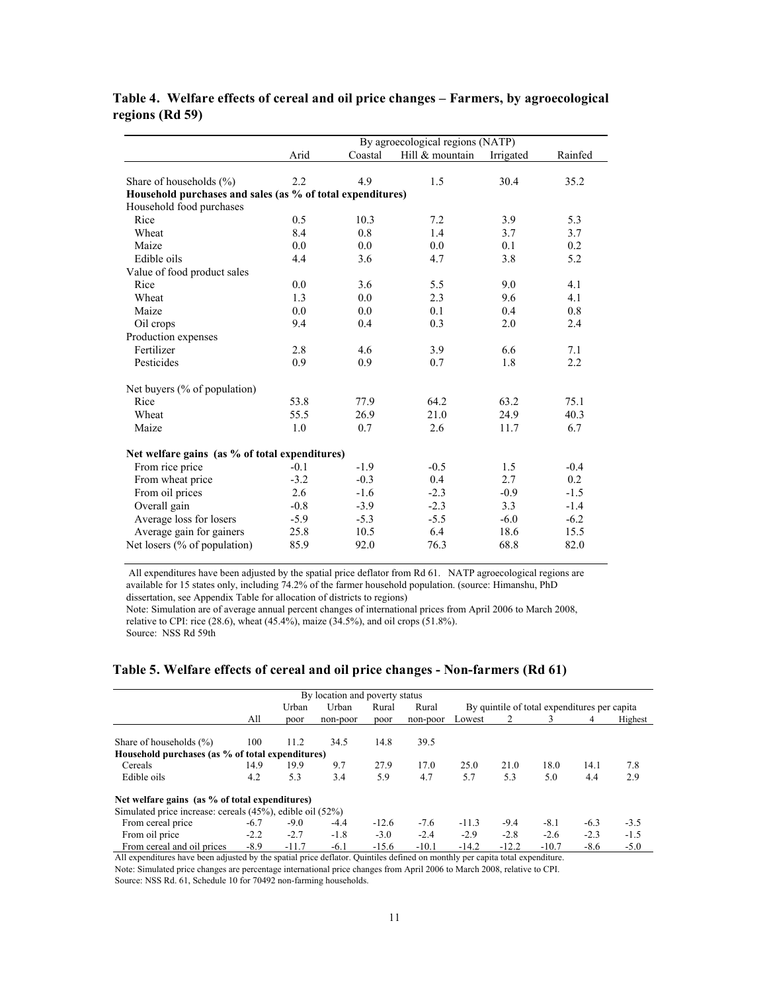|                                                            | By agroecological regions (NATP) |         |                 |           |         |  |  |  |  |
|------------------------------------------------------------|----------------------------------|---------|-----------------|-----------|---------|--|--|--|--|
|                                                            | Arid                             | Coastal | Hill & mountain | Irrigated | Rainfed |  |  |  |  |
|                                                            |                                  |         |                 |           |         |  |  |  |  |
| Share of households $(\% )$                                | 2.2                              | 4.9     | 1.5             | 30.4      | 35.2    |  |  |  |  |
| Household purchases and sales (as % of total expenditures) |                                  |         |                 |           |         |  |  |  |  |
| Household food purchases                                   |                                  |         |                 |           |         |  |  |  |  |
| Rice                                                       | 0.5                              | 10.3    | 7.2             | 3.9       | 5.3     |  |  |  |  |
| Wheat                                                      | 8.4                              | 0.8     | 1.4             | 3.7       | 3.7     |  |  |  |  |
| Maize                                                      | 0.0                              | 0.0     | 0.0             | 0.1       | 0.2     |  |  |  |  |
| Edible oils                                                | 4.4                              | 3.6     | 4.7             | 3.8       | 5.2     |  |  |  |  |
| Value of food product sales                                |                                  |         |                 |           |         |  |  |  |  |
| Rice                                                       | 0.0                              | 3.6     | 5.5             | 9.0       | 4.1     |  |  |  |  |
| Wheat                                                      | 1.3                              | 0.0     | 2.3             | 9.6       | 4.1     |  |  |  |  |
| Maize                                                      | 0.0                              | 0.0     | 0.1             | 0.4       | 0.8     |  |  |  |  |
| Oil crops                                                  | 9.4                              | 0.4     | 0.3             | 2.0       | 2.4     |  |  |  |  |
| Production expenses                                        |                                  |         |                 |           |         |  |  |  |  |
| Fertilizer                                                 | 2.8                              | 4.6     | 3.9             | 6.6       | 7.1     |  |  |  |  |
| Pesticides                                                 | 0.9                              | 0.9     | 0.7             | 1.8       | 2.2     |  |  |  |  |
| Net buyers (% of population)                               |                                  |         |                 |           |         |  |  |  |  |
| Rice                                                       | 53.8                             | 77.9    | 64.2            | 63.2      | 75.1    |  |  |  |  |
| Wheat                                                      | 55.5                             | 26.9    | 21.0            | 24.9      | 40.3    |  |  |  |  |
| Maize                                                      | 1.0                              | 0.7     | 2.6             | 11.7      | 6.7     |  |  |  |  |
| Net welfare gains (as % of total expenditures)             |                                  |         |                 |           |         |  |  |  |  |
| From rice price                                            | $-0.1$                           | $-1.9$  | $-0.5$          | 1.5       | $-0.4$  |  |  |  |  |
| From wheat price                                           | $-3.2$                           | $-0.3$  | 0.4             | 2.7       | 0.2     |  |  |  |  |
| From oil prices                                            | 2.6                              | $-1.6$  | $-2.3$          | $-0.9$    | $-1.5$  |  |  |  |  |
| Overall gain                                               | $-0.8$                           | $-3.9$  | $-2.3$          | 3.3       | $-1.4$  |  |  |  |  |
| Average loss for losers                                    | $-5.9$                           | $-5.3$  | $-5.5$          | $-6.0$    | $-6.2$  |  |  |  |  |
| Average gain for gainers                                   | 25.8                             | 10.5    | 6.4             | 18.6      | 15.5    |  |  |  |  |
| Net losers $(\%$ of population)                            | 85.9                             | 92.0    | 76.3            | 68.8      | 82.0    |  |  |  |  |

# **Table 4. Welfare effects of cereal and oil price changes – Farmers, by agroecological regions (Rd 59)**

 All expenditures have been adjusted by the spatial price deflator from Rd 61. NATP agroecological regions are available for 15 states only, including 74.2% of the farmer household population. (source: Himanshu, PhD dissertation, see Appendix Table for allocation of districts to regions)

Note: Simulation are of average annual percent changes of international prices from April 2006 to March 2008, relative to CPI: rice (28.6), wheat (45.4%), maize (34.5%), and oil crops (51.8%).

#### Source: NSS Rd 59th

# **Table 5. Welfare effects of cereal and oil price changes - Non-farmers (Rd 61)**

| By location and poverty status                                                                                                |        |                                                                                  |          |         |          |         |         |         |        |         |  |  |
|-------------------------------------------------------------------------------------------------------------------------------|--------|----------------------------------------------------------------------------------|----------|---------|----------|---------|---------|---------|--------|---------|--|--|
|                                                                                                                               |        | Urban<br>Urban<br>By quintile of total expenditures per capita<br>Rural<br>Rural |          |         |          |         |         |         |        |         |  |  |
|                                                                                                                               | All    | poor                                                                             | non-poor | poor    | non-poor | Lowest  |         |         | 4      | Highest |  |  |
| Share of households $(\%)$                                                                                                    | 100    | 11.2                                                                             | 34.5     | 14.8    | 39.5     |         |         |         |        |         |  |  |
| Household purchases (as % of total expenditures)                                                                              |        |                                                                                  |          |         |          |         |         |         |        |         |  |  |
| Cereals                                                                                                                       | 14.9   | 19.9                                                                             | 9.7      | 27.9    | 17.0     | 25.0    | 21.0    | 18.0    | 14.1   | 7.8     |  |  |
| Edible oils                                                                                                                   | 4.2    | 5.3                                                                              | 3.4      | 5.9     | 4.7      | 5.7     | 5.3     | 5.0     | 4.4    | 2.9     |  |  |
| Net welfare gains (as % of total expenditures)                                                                                |        |                                                                                  |          |         |          |         |         |         |        |         |  |  |
| Simulated price increase: cereals (45%), edible oil (52%)                                                                     |        |                                                                                  |          |         |          |         |         |         |        |         |  |  |
| From cereal price                                                                                                             | $-6.7$ | $-9.0$                                                                           | $-4.4$   | $-12.6$ | $-7.6$   | $-11.3$ | $-9.4$  | $-8.1$  | $-6.3$ | $-3.5$  |  |  |
| From oil price                                                                                                                | $-2.2$ | $-2.7$                                                                           | $-1.8$   | $-3.0$  | $-2.4$   | $-2.9$  | $-2.8$  | $-2.6$  | $-2.3$ | $-1.5$  |  |  |
| From cereal and oil prices                                                                                                    | $-8.9$ | $-11.7$                                                                          | $-6.1$   | $-15.6$ | $-10.1$  | $-14.2$ | $-12.2$ | $-10.7$ | $-8.6$ | $-5.0$  |  |  |
| All expenditures have been adjusted by the spatial price deflator. Quintiles defined on monthly per capita total expenditure. |        |                                                                                  |          |         |          |         |         |         |        |         |  |  |

Source: NSS Rd. 61, Schedule 10 for 70492 non-farming households. Note: Simulated price changes are percentage international price changes from April 2006 to March 2008, relative to CPI.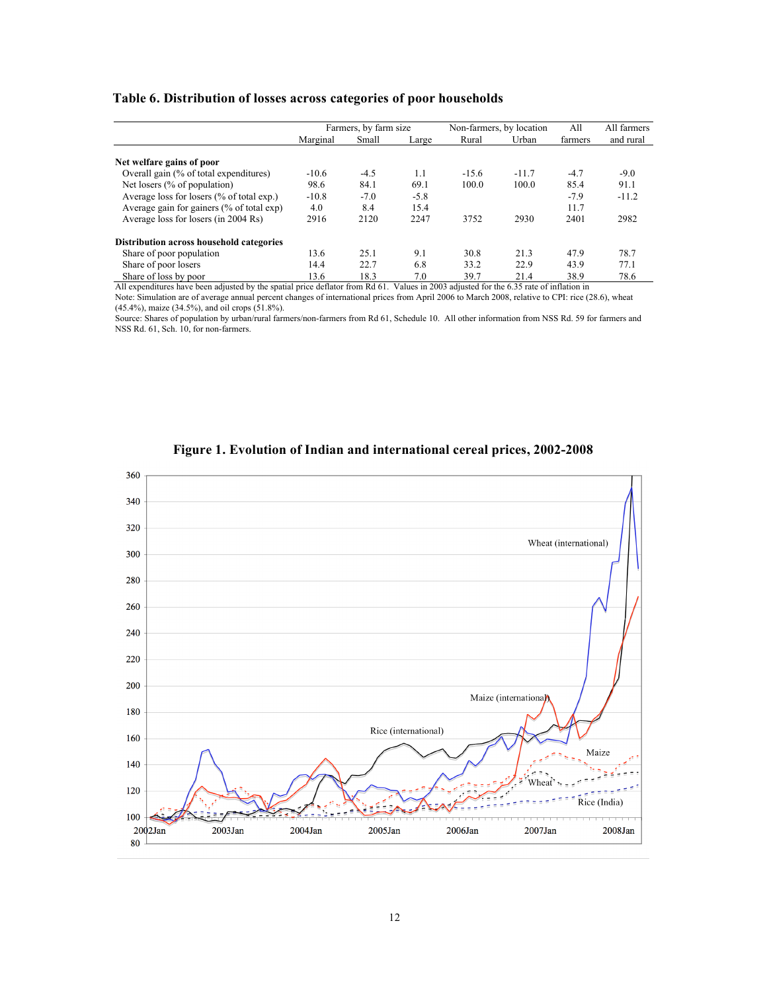## **Table 6. Distribution of losses across categories of poor households**

|                                           | Farmers, by farm size |        |        | Non-farmers, by location | All     | All farmers |           |
|-------------------------------------------|-----------------------|--------|--------|--------------------------|---------|-------------|-----------|
|                                           | Marginal              | Small  | Large  | Rural                    | Urban   | farmers     | and rural |
| Net welfare gains of poor                 |                       |        |        |                          |         |             |           |
| Overall gain (% of total expenditures)    | $-10.6$               | $-4.5$ | 1.1    | $-15.6$                  | $-11.7$ | $-4.7$      | $-9.0$    |
| Net losers (% of population)              | 98.6                  | 84.1   | 69.1   | 100.0                    | 100.0   | 85.4        | 91.1      |
| Average loss for losers (% of total exp.) | $-10.8$               | $-7.0$ | $-5.8$ |                          |         | $-7.9$      | $-11.2$   |
| Average gain for gainers (% of total exp) | 4.0                   | 8.4    | 15.4   |                          |         | 11.7        |           |
| Average loss for losers (in 2004 Rs)      | 2916                  | 2120   | 2247   | 3752                     | 2930    | 2401        | 2982      |
| Distribution across household categories  |                       |        |        |                          |         |             |           |
| Share of poor population                  | 13.6                  | 25.1   | 9.1    | 30.8                     | 21.3    | 47.9        | 78.7      |
| Share of poor losers                      | 14.4                  | 22.7   | 6.8    | 33.2                     | 22.9    | 43.9        | 77.1      |
| Share of loss by poor                     | 13.6                  | 18.3   | 7.0    | 39.7                     | 21.4    | 38.9        | 78.6      |

All expenditures have been adjusted by the spatial price deflator from Rd 61. Values in 2003 adjusted for the 6.35 rate of inflation in Note: Simulation are of average annual percent changes of international prices from April 2006 to March 2008, relative to CPI: rice (28.6), wheat (45.4%), maize (34.5%), and oil crops (51.8%).

Source: Shares of population by urban/rural farmers/non-farmers from Rd 61, Schedule 10. All other information from NSS Rd. 59 for farmers and NSS Rd. 61, Sch. 10, for non-farmers.



**Figure 1. Evolution of Indian and international cereal prices, 2002-2008**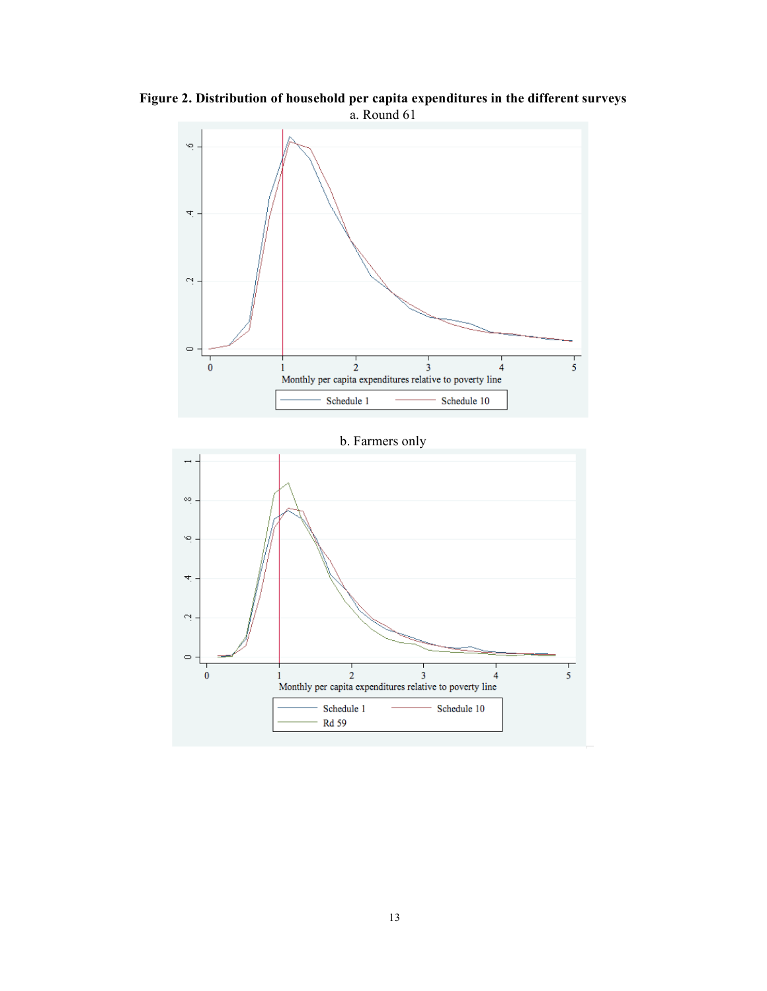

**Figure 2. Distribution of household per capita expenditures in the different surveys** a. Round 61

b. Farmers only

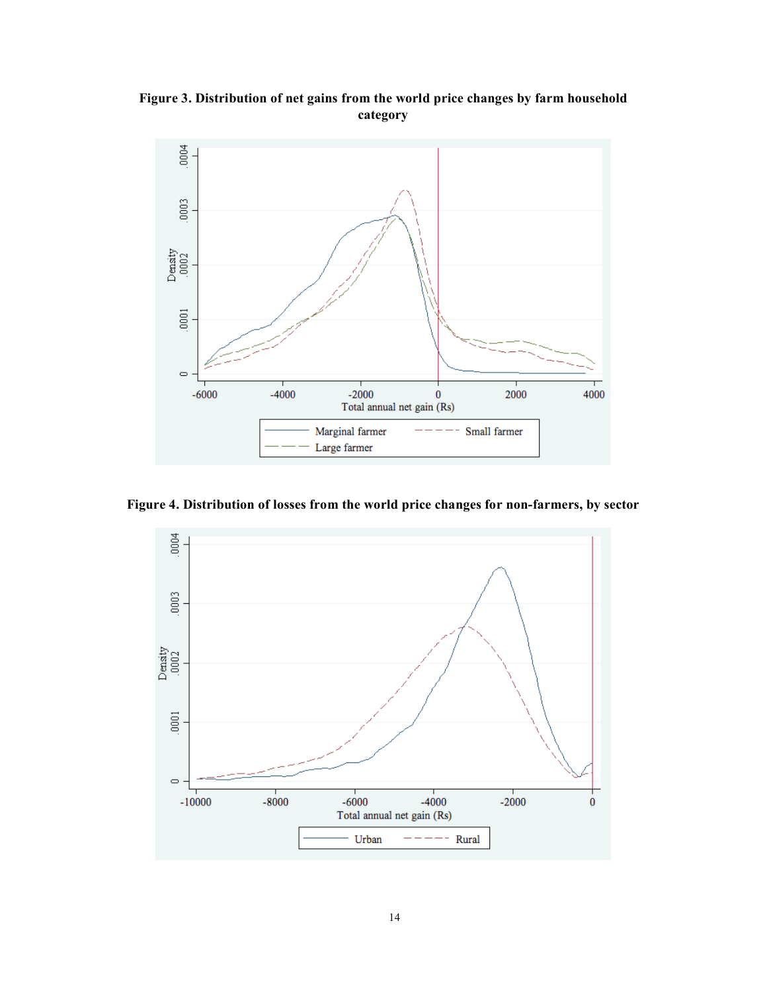**Figure 3. Distribution of net gains from the world price changes by farm household category**



**Figure 4. Distribution of losses from the world price changes for non-farmers, by sector**